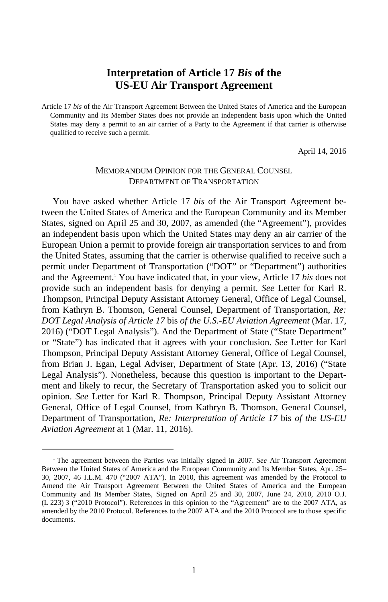# **Interpretation of Article 17** *Bis* **of the US-EU Air Transport Agreement**

Article 17 *bis* of the Air Transport Agreement Between the United States of America and the European Community and Its Member States does not provide an independent basis upon which the United States may deny a permit to an air carrier of a Party to the Agreement if that carrier is otherwise qualified to receive such a permit.

April 14, 2016

## MEMORANDUM OPINION FOR THE GENERAL COUNSEL DEPARTMENT OF TRANSPORTATION

You have asked whether Article 17 *bis* of the Air Transport Agreement between the United States of America and the European Community and its Member States, signed on April 25 and 30, 2007, as amended (the "Agreement"), provides an independent basis upon which the United States may deny an air carrier of the European Union a permit to provide foreign air transportation services to and from the United States, assuming that the carrier is otherwise qualified to receive such a permit under Department of Transportation ("DOT" or "Department") authorities and the Agreement.<sup>1</sup> You have indicated that, in your view, Article 17 *bis* does not provide such an independent basis for denying a permit. *See* Letter for Karl R. Thompson, Principal Deputy Assistant Attorney General, Office of Legal Counsel, from Kathryn B. Thomson, General Counsel, Department of Transportation, *Re: DOT Legal Analysis of Article 17* bis *of the U.S.-EU Aviation Agreement* (Mar. 17, 2016) ("DOT Legal Analysis"). And the Department of State ("State Department" or "State") has indicated that it agrees with your conclusion. *See* Letter for Karl Thompson, Principal Deputy Assistant Attorney General, Office of Legal Counsel, from Brian J. Egan, Legal Adviser, Department of State (Apr. 13, 2016) ("State Legal Analysis"). Nonetheless, because this question is important to the Department and likely to recur, the Secretary of Transportation asked you to solicit our opinion. *See* Letter for Karl R. Thompson, Principal Deputy Assistant Attorney General, Office of Legal Counsel, from Kathryn B. Thomson, General Counsel, Department of Transportation, *Re: Interpretation of Article 17* bis *of the US-EU Aviation Agreement* at 1 (Mar. 11, 2016).

 $\frac{1}{1}$  The agreement between the Parties was initially signed in 2007. *See* Air Transport Agreement Between the United States of America and the European Community and Its Member States, Apr. 25– 30, 2007, 46 I.L.M. 470 ("2007 ATA"). In 2010, this agreement was amended by the Protocol to Amend the Air Transport Agreement Between the United States of America and the European Community and Its Member States, Signed on April 25 and 30, 2007, June 24, 2010, 2010 O.J. (L 223) 3 ("2010 Protocol"). References in this opinion to the "Agreement" are to the 2007 ATA, as amended by the 2010 Protocol. References to the 2007 ATA and the 2010 Protocol are to those specific documents.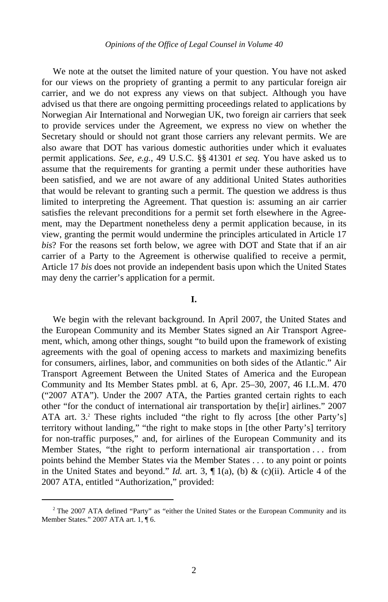We note at the outset the limited nature of your question. You have not asked for our views on the propriety of granting a permit to any particular foreign air carrier, and we do not express any views on that subject. Although you have advised us that there are ongoing permitting proceedings related to applications by Norwegian Air International and Norwegian UK, two foreign air carriers that seek to provide services under the Agreement, we express no view on whether the Secretary should or should not grant those carriers any relevant permits. We are also aware that DOT has various domestic authorities under which it evaluates permit applications. *See, e.g.*, 49 U.S.C. §§ 41301 *et seq.* You have asked us to assume that the requirements for granting a permit under these authorities have been satisfied, and we are not aware of any additional United States authorities that would be relevant to granting such a permit. The question we address is thus limited to interpreting the Agreement. That question is: assuming an air carrier satisfies the relevant preconditions for a permit set forth elsewhere in the Agreement, may the Department nonetheless deny a permit application because, in its view, granting the permit would undermine the principles articulated in Article 17 *bis*? For the reasons set forth below, we agree with DOT and State that if an air carrier of a Party to the Agreement is otherwise qualified to receive a permit, Article 17 *bis* does not provide an independent basis upon which the United States may deny the carrier's application for a permit.

### **I.**

We begin with the relevant background. In April 2007, the United States and the European Community and its Member States signed an Air Transport Agreement, which, among other things, sought "to build upon the framework of existing agreements with the goal of opening access to markets and maximizing benefits for consumers, airlines, labor, and communities on both sides of the Atlantic." Air Transport Agreement Between the United States of America and the European Community and Its Member States pmbl. at 6, Apr. 25–30, 2007, 46 I.L.M. 470 ("2007 ATA"). Under the 2007 ATA, the Parties granted certain rights to each other "for the conduct of international air transportation by the[ir] airlines." 2007 ATA art. 3.<sup>2</sup> These rights included "the right to fly across [the other Party's] territory without landing," "the right to make stops in [the other Party's] territory for non-traffic purposes," and, for airlines of the European Community and its Member States, "the right to perform international air transportation . . . from points behind the Member States via the Member States . . . to any point or points in the United States and beyond." *Id.* art. 3,  $\P$  1(a), (b) & (c)(ii). Article 4 of the 2007 ATA, entitled "Authorization," provided:

 $\overline{\phantom{a}}$  $2$ <sup>2</sup> The 2007 ATA defined "Party" as "either the United States or the European Community and its Member States." 2007 ATA art. 1, ¶ 6.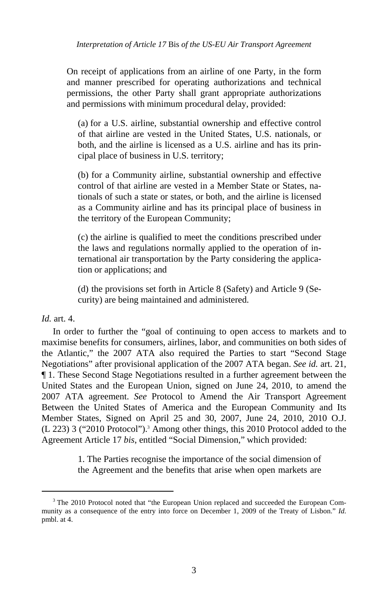On receipt of applications from an airline of one Party, in the form and manner prescribed for operating authorizations and technical permissions, the other Party shall grant appropriate authorizations and permissions with minimum procedural delay, provided:

(a) for a U.S. airline, substantial ownership and effective control of that airline are vested in the United States, U.S. nationals, or both, and the airline is licensed as a U.S. airline and has its principal place of business in U.S. territory;

(b) for a Community airline, substantial ownership and effective control of that airline are vested in a Member State or States, nationals of such a state or states, or both, and the airline is licensed as a Community airline and has its principal place of business in the territory of the European Community;

(c) the airline is qualified to meet the conditions prescribed under the laws and regulations normally applied to the operation of international air transportation by the Party considering the application or applications; and

(d) the provisions set forth in Article 8 (Safety) and Article 9 (Security) are being maintained and administered.

## *Id.* art. 4.

In order to further the "goal of continuing to open access to markets and to maximise benefits for consumers, airlines, labor, and communities on both sides of the Atlantic," the 2007 ATA also required the Parties to start "Second Stage Negotiations" after provisional application of the 2007 ATA began. *See id.* art. 21, ¶ 1. These Second Stage Negotiations resulted in a further agreement between the United States and the European Union, signed on June 24, 2010, to amend the 2007 ATA agreement. *See* Protocol to Amend the Air Transport Agreement Between the United States of America and the European Community and Its Member States, Signed on April 25 and 30, 2007, June 24, 2010, 2010 O.J. (L 223) 3 ("2010 Protocol").3 Among other things, this 2010 Protocol added to the Agreement Article 17 *bis*, entitled "Social Dimension," which provided:

> 1. The Parties recognise the importance of the social dimension of the Agreement and the benefits that arise when open markets are

 $\frac{1}{3}$ <sup>3</sup> The 2010 Protocol noted that "the European Union replaced and succeeded the European Community as a consequence of the entry into force on December 1, 2009 of the Treaty of Lisbon." *Id.* pmbl. at 4.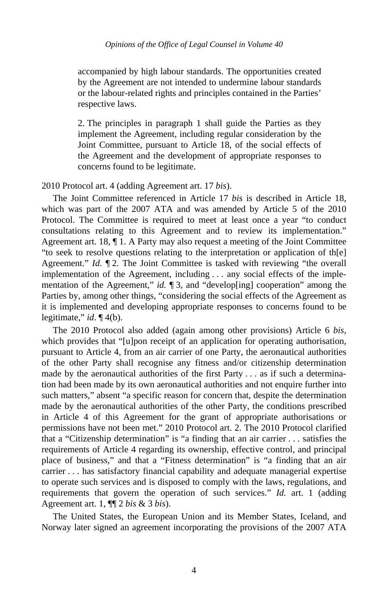accompanied by high labour standards. The opportunities created by the Agreement are not intended to undermine labour standards or the labour-related rights and principles contained in the Parties' respective laws.

2. The principles in paragraph 1 shall guide the Parties as they implement the Agreement, including regular consideration by the Joint Committee, pursuant to Article 18, of the social effects of the Agreement and the development of appropriate responses to concerns found to be legitimate.

2010 Protocol art. 4 (adding Agreement art. 17 *bis*).

The Joint Committee referenced in Article 17 *bis* is described in Article 18, which was part of the 2007 ATA and was amended by Article 5 of the 2010 Protocol. The Committee is required to meet at least once a year "to conduct consultations relating to this Agreement and to review its implementation." Agreement art. 18,  $\P$  1. A Party may also request a meeting of the Joint Committee "to seek to resolve questions relating to the interpretation or application of th[e] Agreement." *Id.* ¶ 2. The Joint Committee is tasked with reviewing "the overall implementation of the Agreement, including . . . any social effects of the implementation of the Agreement," *id.*  $\llbracket 3$ , and "develop[ing] cooperation" among the Parties by, among other things, "considering the social effects of the Agreement as it is implemented and developing appropriate responses to concerns found to be legitimate," *id*. ¶ 4(b).

The 2010 Protocol also added (again among other provisions) Article 6 *bis*, which provides that "[u]pon receipt of an application for operating authorisation, pursuant to Article 4, from an air carrier of one Party, the aeronautical authorities of the other Party shall recognise any fitness and/or citizenship determination made by the aeronautical authorities of the first Party . . . as if such a determination had been made by its own aeronautical authorities and not enquire further into such matters," absent "a specific reason for concern that, despite the determination made by the aeronautical authorities of the other Party, the conditions prescribed in Article 4 of this Agreement for the grant of appropriate authorisations or permissions have not been met." 2010 Protocol art. 2. The 2010 Protocol clarified that a "Citizenship determination" is "a finding that an air carrier . . . satisfies the requirements of Article 4 regarding its ownership, effective control, and principal place of business," and that a "Fitness determination" is "a finding that an air carrier . . . has satisfactory financial capability and adequate managerial expertise to operate such services and is disposed to comply with the laws, regulations, and requirements that govern the operation of such services." *Id.* art. 1 (adding Agreement art. 1, ¶¶ 2 *bis* & 3 *bis*).

The United States, the European Union and its Member States, Iceland, and Norway later signed an agreement incorporating the provisions of the 2007 ATA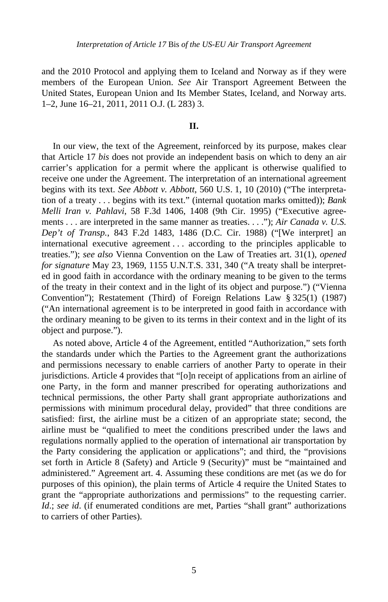and the 2010 Protocol and applying them to Iceland and Norway as if they were members of the European Union. *See* Air Transport Agreement Between the United States, European Union and Its Member States, Iceland, and Norway arts. 1–2, June 16–21, 2011, 2011 O.J. (L 283) 3.

#### **II.**

In our view, the text of the Agreement, reinforced by its purpose, makes clear that Article 17 *bis* does not provide an independent basis on which to deny an air carrier's application for a permit where the applicant is otherwise qualified to receive one under the Agreement. The interpretation of an international agreement begins with its text. *See Abbott v. Abbott*, 560 U.S. 1, 10 (2010) ("The interpretation of a treaty . . . begins with its text." (internal quotation marks omitted)); *Bank Melli Iran v. Pahlavi*, 58 F.3d 1406, 1408 (9th Cir. 1995) ("Executive agreements . . . are interpreted in the same manner as treaties. . . ."); *Air Canada v. U.S. Dep't of Transp.*, 843 F.2d 1483, 1486 (D.C. Cir. 1988) ("[We interpret] an international executive agreement . . . according to the principles applicable to treaties."); *see also* Vienna Convention on the Law of Treaties art. 31(1), *opened for signature* May 23, 1969, 1155 U.N.T.S. 331, 340 ("A treaty shall be interpreted in good faith in accordance with the ordinary meaning to be given to the terms of the treaty in their context and in the light of its object and purpose.") ("Vienna Convention"); Restatement (Third) of Foreign Relations Law § 325(1) (1987) ("An international agreement is to be interpreted in good faith in accordance with the ordinary meaning to be given to its terms in their context and in the light of its object and purpose.").

As noted above, Article 4 of the Agreement, entitled "Authorization," sets forth the standards under which the Parties to the Agreement grant the authorizations and permissions necessary to enable carriers of another Party to operate in their jurisdictions. Article 4 provides that "[o]n receipt of applications from an airline of one Party, in the form and manner prescribed for operating authorizations and technical permissions, the other Party shall grant appropriate authorizations and permissions with minimum procedural delay, provided" that three conditions are satisfied: first, the airline must be a citizen of an appropriate state; second, the airline must be "qualified to meet the conditions prescribed under the laws and regulations normally applied to the operation of international air transportation by the Party considering the application or applications"; and third, the "provisions set forth in Article 8 (Safety) and Article 9 (Security)" must be "maintained and administered." Agreement art. 4. Assuming these conditions are met (as we do for purposes of this opinion), the plain terms of Article 4 require the United States to grant the "appropriate authorizations and permissions" to the requesting carrier. *Id*.; *see id*. (if enumerated conditions are met, Parties "shall grant" authorizations to carriers of other Parties).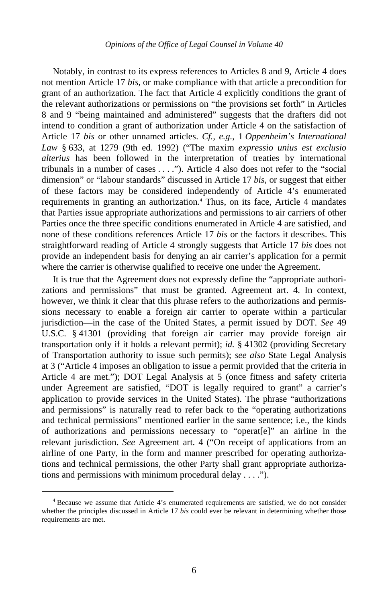Notably, in contrast to its express references to Articles 8 and 9, Article 4 does not mention Article 17 *bis*, or make compliance with that article a precondition for grant of an authorization. The fact that Article 4 explicitly conditions the grant of the relevant authorizations or permissions on "the provisions set forth" in Articles 8 and 9 "being maintained and administered" suggests that the drafters did not intend to condition a grant of authorization under Article 4 on the satisfaction of Article 17 *bis* or other unnamed articles. *Cf., e.g.*, 1 *Oppenheim's International Law* § 633, at 1279 (9th ed. 1992) ("The maxim *expressio unius est exclusio alterius* has been followed in the interpretation of treaties by international tribunals in a number of cases . . . ."). Article 4 also does not refer to the "social dimension" or "labour standards" discussed in Article 17 *bis*, or suggest that either of these factors may be considered independently of Article 4's enumerated requirements in granting an authorization.<sup>4</sup> Thus, on its face, Article 4 mandates that Parties issue appropriate authorizations and permissions to air carriers of other Parties once the three specific conditions enumerated in Article 4 are satisfied, and none of these conditions references Article 17 *bis* or the factors it describes. This straightforward reading of Article 4 strongly suggests that Article 17 *bis* does not provide an independent basis for denying an air carrier's application for a permit where the carrier is otherwise qualified to receive one under the Agreement.

It is true that the Agreement does not expressly define the "appropriate authorizations and permissions" that must be granted. Agreement art. 4. In context, however, we think it clear that this phrase refers to the authorizations and permissions necessary to enable a foreign air carrier to operate within a particular jurisdiction—in the case of the United States, a permit issued by DOT. *See* 49 U.S.C. § 41301 (providing that foreign air carrier may provide foreign air transportation only if it holds a relevant permit); *id.* § 41302 (providing Secretary of Transportation authority to issue such permits); *see also* State Legal Analysis at 3 ("Article 4 imposes an obligation to issue a permit provided that the criteria in Article 4 are met."); DOT Legal Analysis at 5 (once fitness and safety criteria under Agreement are satisfied, "DOT is legally required to grant" a carrier's application to provide services in the United States). The phrase "authorizations and permissions" is naturally read to refer back to the "operating authorizations and technical permissions" mentioned earlier in the same sentence; i.e., the kinds of authorizations and permissions necessary to "operat[e]" an airline in the relevant jurisdiction. *See* Agreement art. 4 ("On receipt of applications from an airline of one Party, in the form and manner prescribed for operating authorizations and technical permissions, the other Party shall grant appropriate authorizations and permissions with minimum procedural delay . . . .").

 $\overline{\phantom{a}}$  Because we assume that Article 4's enumerated requirements are satisfied, we do not consider whether the principles discussed in Article 17 *bis* could ever be relevant in determining whether those requirements are met.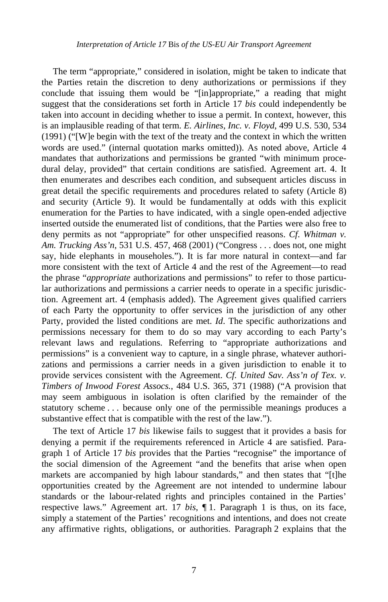The term "appropriate," considered in isolation, might be taken to indicate that the Parties retain the discretion to deny authorizations or permissions if they conclude that issuing them would be "[in]appropriate," a reading that might suggest that the considerations set forth in Article 17 *bis* could independently be taken into account in deciding whether to issue a permit. In context, however, this is an implausible reading of that term. *E. Airlines, Inc. v. Floyd*, 499 U.S. 530, 534 (1991) ("[W]e begin with the text of the treaty and the context in which the written words are used." (internal quotation marks omitted)). As noted above, Article 4 mandates that authorizations and permissions be granted "with minimum procedural delay, provided" that certain conditions are satisfied. Agreement art. 4. It then enumerates and describes each condition, and subsequent articles discuss in great detail the specific requirements and procedures related to safety (Article 8) and security (Article 9). It would be fundamentally at odds with this explicit enumeration for the Parties to have indicated, with a single open-ended adjective inserted outside the enumerated list of conditions, that the Parties were also free to deny permits as not "appropriate" for other unspecified reasons. *Cf*. *Whitman v. Am. Trucking Ass'n*, 531 U.S. 457, 468 (2001) ("Congress . . . does not, one might say, hide elephants in mouseholes."). It is far more natural in context—and far more consistent with the text of Article 4 and the rest of the Agreement—to read the phrase "*appropriate* authorizations and permissions" to refer to those particular authorizations and permissions a carrier needs to operate in a specific jurisdiction. Agreement art. 4 (emphasis added). The Agreement gives qualified carriers of each Party the opportunity to offer services in the jurisdiction of any other Party, provided the listed conditions are met. *Id*. The specific authorizations and permissions necessary for them to do so may vary according to each Party's relevant laws and regulations. Referring to "appropriate authorizations and permissions" is a convenient way to capture, in a single phrase, whatever authorizations and permissions a carrier needs in a given jurisdiction to enable it to provide services consistent with the Agreement. *Cf. United Sav. Ass'n of Tex. v. Timbers of Inwood Forest Assocs.*, 484 U.S. 365, 371 (1988) ("A provision that may seem ambiguous in isolation is often clarified by the remainder of the statutory scheme . . . because only one of the permissible meanings produces a substantive effect that is compatible with the rest of the law.").

The text of Article 17 *bis* likewise fails to suggest that it provides a basis for denying a permit if the requirements referenced in Article 4 are satisfied. Paragraph 1 of Article 17 *bis* provides that the Parties "recognise" the importance of the social dimension of the Agreement "and the benefits that arise when open markets are accompanied by high labour standards," and then states that "[t]he opportunities created by the Agreement are not intended to undermine labour standards or the labour-related rights and principles contained in the Parties' respective laws." Agreement art. 17 *bis*, ¶ 1. Paragraph 1 is thus, on its face, simply a statement of the Parties' recognitions and intentions, and does not create any affirmative rights, obligations, or authorities. Paragraph 2 explains that the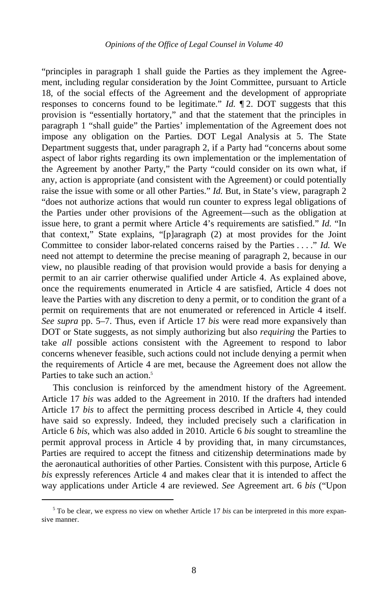"principles in paragraph 1 shall guide the Parties as they implement the Agreement, including regular consideration by the Joint Committee, pursuant to Article 18, of the social effects of the Agreement and the development of appropriate responses to concerns found to be legitimate." *Id.* ¶ 2. DOT suggests that this provision is "essentially hortatory," and that the statement that the principles in paragraph 1 "shall guide" the Parties' implementation of the Agreement does not impose any obligation on the Parties. DOT Legal Analysis at 5. The State Department suggests that, under paragraph 2, if a Party had "concerns about some aspect of labor rights regarding its own implementation or the implementation of the Agreement by another Party," the Party "could consider on its own what, if any, action is appropriate (and consistent with the Agreement) or could potentially raise the issue with some or all other Parties." *Id.* But, in State's view, paragraph 2 "does not authorize actions that would run counter to express legal obligations of the Parties under other provisions of the Agreement—such as the obligation at issue here, to grant a permit where Article 4's requirements are satisfied." *Id.* "In that context," State explains, "[p]aragraph (2) at most provides for the Joint Committee to consider labor-related concerns raised by the Parties . . . ." *Id.* We need not attempt to determine the precise meaning of paragraph 2, because in our view, no plausible reading of that provision would provide a basis for denying a permit to an air carrier otherwise qualified under Article 4. As explained above, once the requirements enumerated in Article 4 are satisfied, Article 4 does not leave the Parties with any discretion to deny a permit, or to condition the grant of a permit on requirements that are not enumerated or referenced in Article 4 itself. *See supra* pp. 5–7. Thus, even if Article 17 *bis* were read more expansively than DOT or State suggests, as not simply authorizing but also *requiring* the Parties to take *all* possible actions consistent with the Agreement to respond to labor concerns whenever feasible, such actions could not include denying a permit when the requirements of Article 4 are met, because the Agreement does not allow the Parties to take such an action.<sup>5</sup>

This conclusion is reinforced by the amendment history of the Agreement. Article 17 *bis* was added to the Agreement in 2010. If the drafters had intended Article 17 *bis* to affect the permitting process described in Article 4, they could have said so expressly. Indeed, they included precisely such a clarification in Article 6 *bis*, which was also added in 2010. Article 6 *bis* sought to streamline the permit approval process in Article 4 by providing that, in many circumstances, Parties are required to accept the fitness and citizenship determinations made by the aeronautical authorities of other Parties. Consistent with this purpose, Article 6 *bis* expressly references Article 4 and makes clear that it is intended to affect the way applications under Article 4 are reviewed. *See* Agreement art. 6 *bis* ("Upon

 $rac{1}{5}$ <sup>5</sup> To be clear, we express no view on whether Article 17 *bis* can be interpreted in this more expansive manner.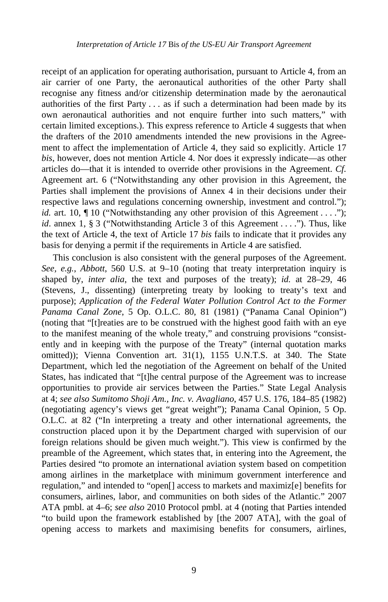receipt of an application for operating authorisation, pursuant to Article 4, from an air carrier of one Party, the aeronautical authorities of the other Party shall recognise any fitness and/or citizenship determination made by the aeronautical authorities of the first Party . . . as if such a determination had been made by its own aeronautical authorities and not enquire further into such matters," with certain limited exceptions.). This express reference to Article 4 suggests that when the drafters of the 2010 amendments intended the new provisions in the Agreement to affect the implementation of Article 4, they said so explicitly. Article 17 *bis*, however, does not mention Article 4. Nor does it expressly indicate—as other articles do—that it is intended to override other provisions in the Agreement. *Cf.*  Agreement art. 6 ("Notwithstanding any other provision in this Agreement, the Parties shall implement the provisions of Annex 4 in their decisions under their respective laws and regulations concerning ownership, investment and control."); *id.* art. 10,  $\P$  10 ("Notwithstanding any other provision of this Agreement . . . ."); *id*. annex 1, § 3 ("Notwithstanding Article 3 of this Agreement . . . ."). Thus, like the text of Article 4, the text of Article 17 *bis* fails to indicate that it provides any basis for denying a permit if the requirements in Article 4 are satisfied.

This conclusion is also consistent with the general purposes of the Agreement. *See, e.g.*, *Abbott*, 560 U.S. at 9–10 (noting that treaty interpretation inquiry is shaped by, *inter alia*, the text and purposes of the treaty); *id.* at 28–29, 46 (Stevens, J., dissenting) (interpreting treaty by looking to treaty's text and purpose); *Application of the Federal Water Pollution Control Act to the Former Panama Canal Zone*, 5 Op. O.L.C. 80, 81 (1981) ("Panama Canal Opinion") (noting that "[t]reaties are to be construed with the highest good faith with an eye to the manifest meaning of the whole treaty," and construing provisions "consistently and in keeping with the purpose of the Treaty" (internal quotation marks omitted)); Vienna Convention art. 31(1), 1155 U.N.T.S. at 340. The State Department, which led the negotiation of the Agreement on behalf of the United States, has indicated that "[t]he central purpose of the Agreement was to increase opportunities to provide air services between the Parties." State Legal Analysis at 4; *see also Sumitomo Shoji Am., Inc. v. Avagliano*, 457 U.S. 176, 184–85 (1982) (negotiating agency's views get "great weight"); Panama Canal Opinion, 5 Op. O.L.C. at 82 ("In interpreting a treaty and other international agreements, the construction placed upon it by the Department charged with supervision of our foreign relations should be given much weight."). This view is confirmed by the preamble of the Agreement, which states that, in entering into the Agreement, the Parties desired "to promote an international aviation system based on competition among airlines in the marketplace with minimum government interference and regulation," and intended to "open[] access to markets and maximiz[e] benefits for consumers, airlines, labor, and communities on both sides of the Atlantic." 2007 ATA pmbl. at 4–6; *see also* 2010 Protocol pmbl. at 4 (noting that Parties intended "to build upon the framework established by [the 2007 ATA], with the goal of opening access to markets and maximising benefits for consumers, airlines,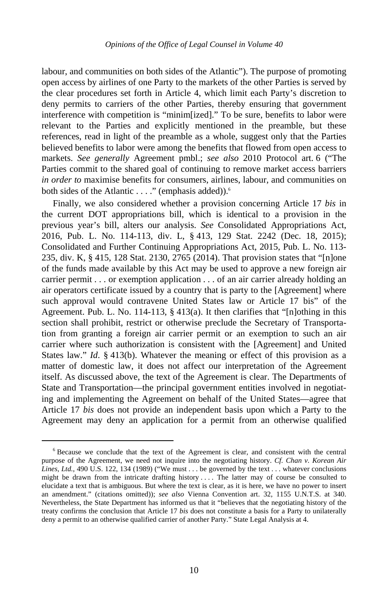labour, and communities on both sides of the Atlantic"). The purpose of promoting open access by airlines of one Party to the markets of the other Parties is served by the clear procedures set forth in Article 4, which limit each Party's discretion to deny permits to carriers of the other Parties, thereby ensuring that government interference with competition is "minim[ized]." To be sure, benefits to labor were relevant to the Parties and explicitly mentioned in the preamble, but these references, read in light of the preamble as a whole, suggest only that the Parties believed benefits to labor were among the benefits that flowed from open access to markets. *See generally* Agreement pmbl.; *see also* 2010 Protocol art. 6 ("The Parties commit to the shared goal of continuing to remove market access barriers *in order to* maximise benefits for consumers, airlines, labour, and communities on both sides of the Atlantic . . . ." (emphasis added)).<sup>6</sup>

Finally, we also considered whether a provision concerning Article 17 *bis* in the current DOT appropriations bill, which is identical to a provision in the previous year's bill, alters our analysis. *See* Consolidated Appropriations Act, 2016, Pub. L. No. 114-113, div. L, § 413, 129 Stat. 2242 (Dec. 18, 2015); Consolidated and Further Continuing Appropriations Act, 2015, Pub. L. No. 113- 235, div. K, § 415, 128 Stat. 2130, 2765 (2014). That provision states that "[n]one of the funds made available by this Act may be used to approve a new foreign air carrier permit . . . or exemption application . . . of an air carrier already holding an air operators certificate issued by a country that is party to the [Agreement] where such approval would contravene United States law or Article 17 bis" of the Agreement. Pub. L. No. 114-113,  $\S$  413(a). It then clarifies that "[n]othing in this section shall prohibit, restrict or otherwise preclude the Secretary of Transportation from granting a foreign air carrier permit or an exemption to such an air carrier where such authorization is consistent with the [Agreement] and United States law." *Id*. § 413(b). Whatever the meaning or effect of this provision as a matter of domestic law, it does not affect our interpretation of the Agreement itself. As discussed above, the text of the Agreement is clear. The Departments of State and Transportation—the principal government entities involved in negotiating and implementing the Agreement on behalf of the United States—agree that Article 17 *bis* does not provide an independent basis upon which a Party to the Agreement may deny an application for a permit from an otherwise qualified

 $\overline{\phantom{0}}$  $6$  Because we conclude that the text of the Agreement is clear, and consistent with the central purpose of the Agreement, we need not inquire into the negotiating history. *Cf. Chan v. Korean Air Lines, Ltd.*, 490 U.S. 122, 134 (1989) ("We must . . . be governed by the text . . . whatever conclusions might be drawn from the intricate drafting history . . . . The latter may of course be consulted to elucidate a text that is ambiguous. But where the text is clear, as it is here, we have no power to insert an amendment." (citations omitted)); *see also* Vienna Convention art. 32, 1155 U.N.T.S. at 340. Nevertheless, the State Department has informed us that it "believes that the negotiating history of the treaty confirms the conclusion that Article 17 *bis* does not constitute a basis for a Party to unilaterally deny a permit to an otherwise qualified carrier of another Party." State Legal Analysis at 4.